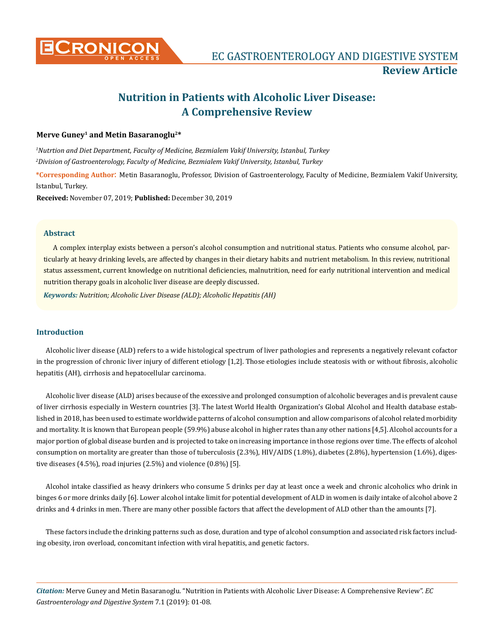

# **Nutrition in Patients with Alcoholic Liver Disease: A Comprehensive Review**

## **Merve Guney1 and Metin Basaranoglu2\***

*1 Nutrtion and Diet Department, Faculty of Medicine, Bezmialem Vakif University, Istanbul, Turkey 2 Division of Gastroenterology, Faculty of Medicine, Bezmialem Vakif University, Istanbul, Turkey* **\*Corresponding Author**: Metin Basaranoglu, Professor, Division of Gastroenterology, Faculty of Medicine, Bezmialem Vakif University, Istanbul, Turkey.

**Received:** November 07, 2019; **Published:** December 30, 2019

#### **Abstract**

A complex interplay exists between a person's alcohol consumption and nutritional status. Patients who consume alcohol, particularly at heavy drinking levels, are affected by changes in their dietary habits and nutrient metabolism. In this review, nutritional status assessment, current knowledge on nutritional deficiencies, malnutrition, need for early nutritional intervention and medical nutrition therapy goals in alcoholic liver disease are deeply discussed.

*Keywords: Nutrition; Alcoholic Liver Disease (ALD); Alcoholic Hepatitis (AH)*

## **Introduction**

Alcoholic liver disease (ALD) refers to a wide histological spectrum of liver pathologies and represents a negatively relevant cofactor in the progression of chronic liver injury of different etiology [1,2]. Those etiologies include steatosis with or without fibrosis, alcoholic hepatitis (AH), cirrhosis and hepatocellular carcinoma.

Alcoholic liver disease (ALD) arises because of the excessive and prolonged consumption of alcoholic beverages and is prevalent cause of liver cirrhosis especially in Western countries [3]. The latest World Health Organization's Global Alcohol and Health database established in 2018, has been used to estimate worldwide patterns of alcohol consumption and allow comparisons of alcohol related morbidity and mortality. It is known that European people (59.9%) abuse alcohol in higher rates than any other nations [4,5]. Alcohol accounts for a major portion of global disease burden and is projected to take on increasing importance in those regions over time. The effects of alcohol consumption on mortality are greater than those of tuberculosis (2.3%), HIV/AIDS (1.8%), diabetes (2.8%), hypertension (1.6%), digestive diseases (4.5%), road injuries (2.5%) and violence (0.8%) [5].

Alcohol intake classified as heavy drinkers who consume 5 drinks per day at least once a week and chronic alcoholics who drink in binges 6 or more drinks daily [6]. Lower alcohol intake limit for potential development of ALD in women is daily intake of alcohol above 2 drinks and 4 drinks in men. There are many other possible factors that affect the development of ALD other than the amounts [7].

These factors include the drinking patterns such as dose, duration and type of alcohol consumption and associated risk factors including obesity, iron overload, concomitant infection with viral hepatitis, and genetic factors.

*Citation:* Merve Guney and Metin Basaranoglu. "Nutrition in Patients with Alcoholic Liver Disease: A Comprehensive Review". *EC Gastroenterology and Digestive System* 7.1 (2019): 01-08.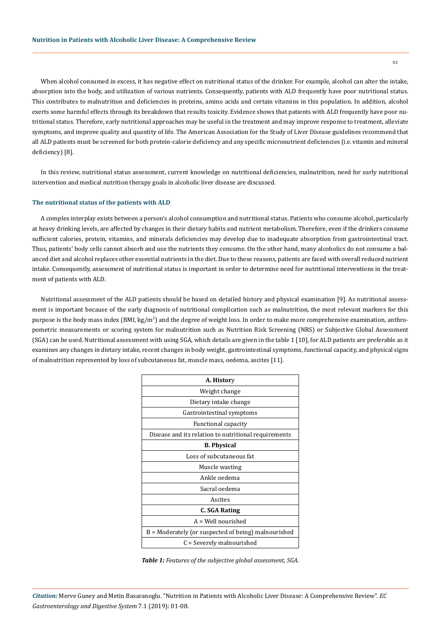When alcohol consumed in excess, it has negative effect on nutritional status of the drinker. For example, alcohol can alter the intake, absorption into the body, and utilization of various nutrients. Consequently, patients with ALD frequently have poor nutritional status. This contributes to malnutrition and deficiencies in proteins, amino acids and certain vitamins in this population. In addition, alcohol exerts some harmful effects through its breakdown that results toxicity. Evidence shows that patients with ALD frequently have poor nutritional status. Therefore, early nutritional approaches may be useful in the treatment and may improve response to treatment, alleviate symptoms, and improve quality and quantity of life. The American Association for the Study of Liver Disease guidelines recommend that all ALD patients must be screened for both protein-calorie deficiency and any specific micronutrient deficiencies (i.e. vitamin and mineral deficiency) [8].

In this review, nutritional status assessment, current knowledge on nutritional deficiencies, malnutrition, need for early nutritional intervention and medical nutrition therapy goals in alcoholic liver disease are discussed.

#### **The nutritional status of the patients with ALD**

A complex interplay exists between a person's alcohol consumption and nutritional status. Patients who consume alcohol, particularly at heavy drinking levels, are affected by changes in their dietary habits and nutrient metabolism. Therefore, even if the drinkers consume sufficient calories, protein, vitamins, and minerals deficiencies may develop due to inadequate absorption from gastrointestinal tract. Thus, patients' body cells cannot absorb and use the nutrients they consume. On the other hand, many alcoholics do not consume a balanced diet and alcohol replaces other essential nutrients in the diet. Due to these reasons, patients are faced with overall reduced nutrient intake. Consequently, assessment of nutritional status is important in order to determine need for nutritional interventions in the treatment of patients with ALD.

Nutritional assessment of the ALD patients should be based on detailed history and physical examination [9]. As nutritional assessment is important because of the early diagnosis of nutritional complication such as malnutrition, the most relevant markers for this purpose is the body mass index (BMI, kg/m<sup>2</sup>) and the degree of weight loss. In order to make more comprehensive examination, anthropometric measurements or scoring system for malnutrition such as Nutrition Risk Screening (NRS) or Subjective Global Assessment (SGA) can be used. Nutritional assessment with using SGA, which details are given in the table 1 [10], for ALD patients are preferable as it examines any changes in dietary intake, recent changes in body weight, gastrointestinal symptoms, functional capacity, and physical signs of malnutrition represented by loss of subcutaneous fat, muscle mass, oedema, ascites [11].

| A. History                                           |  |  |  |  |
|------------------------------------------------------|--|--|--|--|
| Weight change                                        |  |  |  |  |
| Dietary intake change                                |  |  |  |  |
| Gastrointestinal symptoms                            |  |  |  |  |
| Functional capacity                                  |  |  |  |  |
| Disease and its relation to nutritional requirements |  |  |  |  |
| <b>B.</b> Physical                                   |  |  |  |  |
| Loss of subcutaneous fat                             |  |  |  |  |
| Muscle wasting                                       |  |  |  |  |
| Ankle oedema                                         |  |  |  |  |
| Sacral oedema                                        |  |  |  |  |
| Ascites                                              |  |  |  |  |
| C. SGA Rating                                        |  |  |  |  |
| $A = Well$ nourished                                 |  |  |  |  |
| B = Moderately (or suspected of being) malnourished  |  |  |  |  |
| C = Severely malnourished                            |  |  |  |  |

*Table 1: Features of the subjective global assessment, SGA.*

*Citation:* Merve Guney and Metin Basaranoglu. "Nutrition in Patients with Alcoholic Liver Disease: A Comprehensive Review". *EC Gastroenterology and Digestive System* 7.1 (2019): 01-08.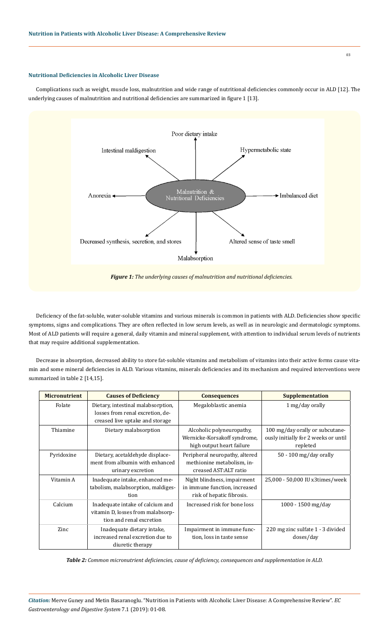## **Nutritional Deficiencies in Alcoholic Liver Disease**

Complications such as weight, muscle loss, malnutrition and wide range of nutritional deficiencies commonly occur in ALD [12]. The underlying causes of malnutrition and nutritional deficiencies are summarized in figure 1 [13].



Deficiency of the fat-soluble, water-soluble vitamins and various minerals is common in patients with ALD. Deficiencies show specific symptoms, signs and complications. They are often reflected in low serum levels, as well as in neurologic and dermatologic symptoms. Most of ALD patients will require a general, daily vitamin and mineral supplement, with attention to individual serum levels of nutrients that may require additional supplementation.

Decrease in absorption, decreased ability to store fat-soluble vitamins and metabolism of vitamins into their active forms cause vitamin and some mineral deficiencies in ALD. Various vitamins, minerals deficiencies and its mechanism and required interventions were summarized in table 2 [14,15].

| <b>Micronutrient</b> | <b>Causes of Deficiency</b>                                                                               | <b>Consequences</b>                                                                       | <b>Supplementation</b>                                                              |
|----------------------|-----------------------------------------------------------------------------------------------------------|-------------------------------------------------------------------------------------------|-------------------------------------------------------------------------------------|
| Folate               | Dietary, intestinal malabsorption,<br>losses from renal excretion, de-<br>creased live uptake and storage | Megaloblastic anemia                                                                      | 1 mg/day orally                                                                     |
| Thiamine             | Dietary malabsorption                                                                                     | Alcoholic polyneuropathy,<br>Wernicke-Korsakoff syndrome,<br>high output heart failure    | 100 mg/day orally or subcutane-<br>ously initially for 2 weeks or until<br>repleted |
| Pyridoxine           | Dietary, acetaldehyde displace-<br>ment from albumin with enhanced<br>urinary excretion                   | Peripheral neuropathy, altered<br>methionine metabolism, in-<br>creased AST:ALT ratio     | $50 - 100$ mg/day orally                                                            |
| Vitamin A            | Inadequate intake, enhanced me-<br>tabolism, malabsorption, maldiges-<br>tion                             | Night blindness, impairment<br>in immune function, increased<br>risk of hepatic fibrosis. | 25,000 - 50,000 IU x3times/week                                                     |
| Calcium              | Inadequate intake of calcium and<br>vitamin D, losses from malabsorp-<br>tion and renal excretion         | Increased risk for bone loss                                                              | $1000 - 1500$ mg/day                                                                |
| Zinc                 | Inadequate dietary intake,<br>increased renal excretion due to<br>diuretic therapy                        | Impairment in immune func-<br>tion, loss in taste sense                                   | 220 mg zinc sulfate 1 - 3 divided<br>doses/day                                      |

*Table 2: Common micronutrient deficiencies, cause of deficiency, consequences and supplementation in ALD.*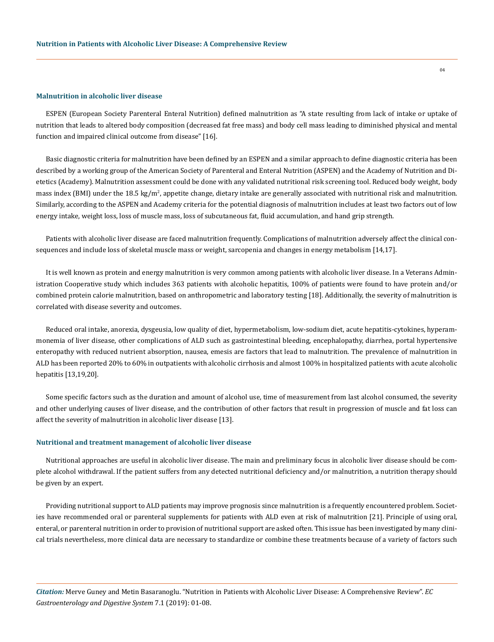#### **Malnutrition in alcoholic liver disease**

ESPEN (European Society Parenteral Enteral Nutrition) defined malnutrition as "A state resulting from lack of intake or uptake of nutrition that leads to altered body composition (decreased fat free mass) and body cell mass leading to diminished physical and mental function and impaired clinical outcome from disease" [16].

Basic diagnostic criteria for malnutrition have been defined by an ESPEN and a similar approach to define diagnostic criteria has been described by a working group of the American Society of Parenteral and Enteral Nutrition (ASPEN) and the Academy of Nutrition and Dietetics (Academy). Malnutrition assessment could be done with any validated nutritional risk screening tool. Reduced body weight, body mass index (BMI) under the 18.5 kg/m², appetite change, dietary intake are generally associated with nutritional risk and malnutrition. Similarly, according to the ASPEN and Academy criteria for the potential diagnosis of malnutrition includes at least two factors out of low energy intake, weight loss, loss of muscle mass, loss of subcutaneous fat, fluid accumulation, and hand grip strength.

Patients with alcoholic liver disease are faced malnutrition frequently. Complications of malnutrition adversely affect the clinical consequences and include loss of skeletal muscle mass or weight, sarcopenia and changes in energy metabolism [14,17].

It is well known as protein and energy malnutrition is very common among patients with alcoholic liver disease. In a Veterans Administration Cooperative study which includes 363 patients with alcoholic hepatitis, 100% of patients were found to have protein and/or combined protein calorie malnutrition, based on anthropometric and laboratory testing [18]. Additionally, the severity of malnutrition is correlated with disease severity and outcomes.

Reduced oral intake, anorexia, dysgeusia, low quality of diet, hypermetabolism, low-sodium diet, acute hepatitis-cytokines, hyperammonemia of liver disease, other complications of ALD such as gastrointestinal bleeding, encephalopathy, diarrhea, portal hypertensive enteropathy with reduced nutrient absorption, nausea, emesis are factors that lead to malnutrition. The prevalence of malnutrition in ALD has been reported 20% to 60% in outpatients with alcoholic cirrhosis and almost 100% in hospitalized patients with acute alcoholic hepatitis [13,19,20].

Some specific factors such as the duration and amount of alcohol use, time of measurement from last alcohol consumed, the severity and other underlying causes of liver disease, and the contribution of other factors that result in progression of muscle and fat loss can affect the severity of malnutrition in alcoholic liver disease [13].

#### **Nutritional and treatment management of alcoholic liver disease**

Nutritional approaches are useful in alcoholic liver disease. The main and preliminary focus in alcoholic liver disease should be complete alcohol withdrawal. If the patient suffers from any detected nutritional deficiency and/or malnutrition, a nutrition therapy should be given by an expert.

Providing nutritional support to ALD patients may improve prognosis since malnutrition is a frequently encountered problem. Societies have recommended oral or parenteral supplements for patients with ALD even at risk of malnutrition [21]. Principle of using oral, enteral, or parenteral nutrition in order to provision of nutritional support are asked often. This issue has been investigated by many clinical trials nevertheless, more clinical data are necessary to standardize or combine these treatments because of a variety of factors such

*Citation:* Merve Guney and Metin Basaranoglu. "Nutrition in Patients with Alcoholic Liver Disease: A Comprehensive Review". *EC Gastroenterology and Digestive System* 7.1 (2019): 01-08.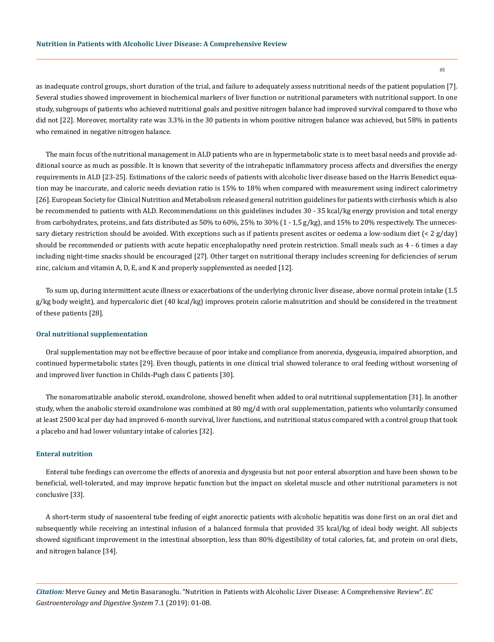as inadequate control groups, short duration of the trial, and failure to adequately assess nutritional needs of the patient population [7]. Several studies showed improvement in biochemical markers of liver function or nutritional parameters with nutritional support. In one study, subgroups of patients who achieved nutritional goals and positive nitrogen balance had improved survival compared to those who did not [22]. Moreover, mortality rate was 3.3% in the 30 patients in whom positive nitrogen balance was achieved, but 58% in patients who remained in negative nitrogen balance.

The main focus of the nutritional management in ALD patients who are in hypermetabolic state is to meet basal needs and provide additional source as much as possible. It is known that severity of the intrahepatic inflammatory process affects and diversifies the energy requirements in ALD [23-25]. Estimations of the caloric needs of patients with alcoholic liver disease based on the Harris Benedict equation may be inaccurate, and caloric needs deviation ratio is 15% to 18% when compared with measurement using indirect calorimetry [26]. European Society for Clinical Nutrition and Metabolism released general nutrition guidelines for patients with cirrhosis which is also be recommended to patients with ALD. Recommendations on this guidelines includes 30 - 35 kcal/kg energy provision and total energy from carbohydrates, proteins, and fats distributed as 50% to 60%, 25% to 30% (1 - 1,5 g/kg), and 15% to 20% respectively. The unnecessary dietary restriction should be avoided. With exceptions such as if patients present ascites or oedema a low-sodium diet  $\left($  < 2 g/day) should be recommended or patients with acute hepatic encephalopathy need protein restriction. Small meals such as 4 - 6 times a day including night-time snacks should be encouraged [27]. Other target on nutritional therapy includes screening for deficiencies of serum zinc, calcium and vitamin A, D, E, and K and properly supplemented as needed [12].

To sum up, during intermittent acute illness or exacerbations of the underlying chronic liver disease, above normal protein intake (1.5 g/kg body weight), and hypercaloric diet (40 kcal/kg) improves protein calorie malnutrition and should be considered in the treatment of these patients [28].

#### **Oral nutritional supplementation**

Oral supplementation may not be effective because of poor intake and compliance from anorexia, dysgeusia, impaired absorption, and continued hypermetabolic states [29]. Even though, patients in one clinical trial showed tolerance to oral feeding without worsening of and improved liver function in Childs-Pugh class C patients [30].

The nonaromatizable anabolic steroid, oxandrolone, showed benefit when added to oral nutritional supplementation [31]. In another study, when the anabolic steroid oxandrolone was combined at 80 mg/d with oral supplementation, patients who voluntarily consumed at least 2500 kcal per day had improved 6-month survival, liver functions, and nutritional status compared with a control group that took a placebo and had lower voluntary intake of calories [32].

### **Enteral nutrition**

Enteral tube feedings can overcome the effects of anorexia and dysgeusia but not poor enteral absorption and have been shown to be beneficial, well-tolerated, and may improve hepatic function but the impact on skeletal muscle and other nutritional parameters is not conclusive [33].

A short‐term study of nasoenteral tube feeding of eight anorectic patients with alcoholic hepatitis was done first on an oral diet and subsequently while receiving an intestinal infusion of a balanced formula that provided 35 kcal/kg of ideal body weight. All subjects showed significant improvement in the intestinal absorption, less than 80% digestibility of total calories, fat, and protein on oral diets, and nitrogen balance [34].

*Citation:* Merve Guney and Metin Basaranoglu. "Nutrition in Patients with Alcoholic Liver Disease: A Comprehensive Review". *EC Gastroenterology and Digestive System* 7.1 (2019): 01-08.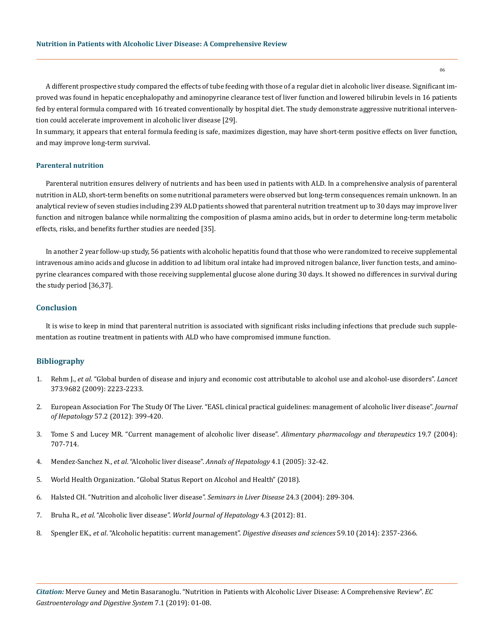A different prospective study compared the effects of tube feeding with those of a regular diet in alcoholic liver disease. Significant improved was found in hepatic encephalopathy and aminopyrine clearance test of liver function and lowered bilirubin levels in 16 patients fed by enteral formula compared with 16 treated conventionally by hospital diet. The study demonstrate aggressive nutritional intervention could accelerate improvement in alcoholic liver disease [29].

In summary, it appears that enteral formula feeding is safe, maximizes digestion, may have short-term positive effects on liver function, and may improve long-term survival.

#### **Parenteral nutrition**

Parenteral nutrition ensures delivery of nutrients and has been used in patients with ALD. In a comprehensive analysis of parenteral nutrition in ALD, short-term benefits on some nutritional parameters were observed but long-term consequences remain unknown. In an analytical review of seven studies including 239 ALD patients showed that parenteral nutrition treatment up to 30 days may improve liver function and nitrogen balance while normalizing the composition of plasma amino acids, but in order to determine long-term metabolic effects, risks, and benefits further studies are needed [35].

In another 2 year follow-up study, 56 patients with alcoholic hepatitis found that those who were randomized to receive supplemental intravenous amino acids and glucose in addition to ad libitum oral intake had improved nitrogen balance, liver function tests, and aminopyrine clearances compared with those receiving supplemental glucose alone during 30 days. It showed no differences in survival during the study period [36,37].

#### **Conclusion**

It is wise to keep in mind that parenteral nutrition is associated with significant risks including infections that preclude such supplementation as routine treatment in patients with ALD who have compromised immune function.

#### **Bibliography**

- 1. Rehm J., *et al*[. "Global burden of disease and injury and economic cost attributable to alcohol use and alcohol-use disorders".](https://www.ncbi.nlm.nih.gov/pubmed/19560604) *Lancet* [373.9682 \(2009\): 2223-2233.](https://www.ncbi.nlm.nih.gov/pubmed/19560604)
- 2. [European Association For The Study Of The Liver. "EASL clinical practical guidelines: management of alcoholic liver disease".](https://www.ncbi.nlm.nih.gov/pubmed/22633836) *Journal of Hepatology* [57.2 \(2012\): 399-420.](https://www.ncbi.nlm.nih.gov/pubmed/22633836)
- 3. [Tome S and Lucey MR. "Current management of alcoholic liver disease".](https://www.ncbi.nlm.nih.gov/pubmed/15043511) *Alimentary pharmacology and therapeutics* 19.7 (2004): [707-714.](https://www.ncbi.nlm.nih.gov/pubmed/15043511)
- 4. Mendez-Sanchez N., *et al*[. "Alcoholic liver disease".](https://www.ncbi.nlm.nih.gov/pubmed/15798659) *Annals of Hepatology* 4.1 (2005): 32-42.
- 5. [World Health Organization. "Global Status Report on Alcohol and Health" \(2018\).](https://www.who.int/substance_abuse/publications/global_alcohol_report/en/)
- 6. [Halsted CH. "Nutrition and alcoholic liver disease".](https://www.ncbi.nlm.nih.gov/pubmed/15349806) *Seminars in Liver Disease* 24.3 (2004): 289-304.
- 7. Bruha R., *et al*. "Alcoholic liver disease". *[World Journal of Hepatology](https://www.ncbi.nlm.nih.gov/pubmed/22489260)* 4.3 (2012): 81.
- 8. Spengler EK., *et al*[. "Alcoholic hepatitis: current management".](https://www.ncbi.nlm.nih.gov/pubmed/24798996) *Digestive diseases and sciences* 59.10 (2014): 2357-2366.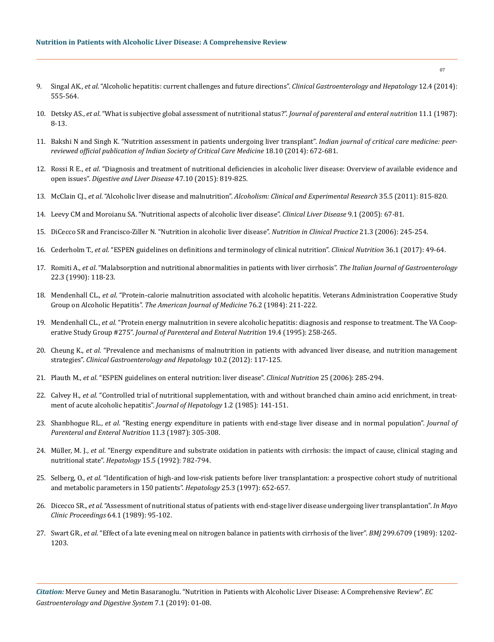- 9. Singal AK., *et al*[. "Alcoholic hepatitis: current challenges and future directions".](https://www.ncbi.nlm.nih.gov/pubmed/23811249) *Clinical Gastroenterology and Hepatology* 12.4 (2014): [555-564.](https://www.ncbi.nlm.nih.gov/pubmed/23811249)
- 10. Detsky AS., *et al*[. "What is subjective global assessment of nutritional status?".](https://www.ncbi.nlm.nih.gov/pubmed/3820522) *Journal of parenteral and enteral nutrition* 11.1 (1987): [8-13.](https://www.ncbi.nlm.nih.gov/pubmed/3820522)
- 11. [Bakshi N and Singh K. "Nutrition assessment in patients undergoing liver transplant".](https://www.ncbi.nlm.nih.gov/pmc/articles/PMC4195198/) *Indian journal of critical care medicine: peer[reviewed official publication of Indian Society of Critical Care Medicine](https://www.ncbi.nlm.nih.gov/pmc/articles/PMC4195198/)* 18.10 (2014): 672-681.
- 12. Rossi R E., *et al*[. "Diagnosis and treatment of nutritional deficiencies in alcoholic liver disease: Overview of available evidence and](https://www.ncbi.nlm.nih.gov/pubmed/26164399)  open issues". *[Digestive and Liver Disease](https://www.ncbi.nlm.nih.gov/pubmed/26164399)* 47.10 (2015): 819-825.
- 13. McClain CJ., *et al*. "Alcoholic liver disease and malnutrition". *[Alcoholism: Clinical and Experimental Research](https://www.ncbi.nlm.nih.gov/pmc/articles/PMC3771636/)* 35.5 (2011): 815-820.
- 14. [Leevy CM and Moroianu SA. "Nutritional aspects of alcoholic liver disease".](https://www.ncbi.nlm.nih.gov/pubmed/15763230) *Clinical Liver Disease* 9.1 (2005): 67-81.
- 15. [DiCecco SR and Francisco-Ziller N. "Nutrition in alcoholic liver disease".](https://onlinelibrary.wiley.com/doi/abs/10.1177/0115426506021003245) *Nutrition in Clinical Practice* 21.3 (2006): 245-254.
- 16. Cederholm T., *et al*[. "ESPEN guidelines on definitions and terminology of clinical nutrition".](https://www.ncbi.nlm.nih.gov/pubmed/27642056) *Clinical Nutrition* 36.1 (2017): 49-64.
- 17. Romiti A., *et al*[. "Malabsorption and nutritional abnormalities in patients with liver cirrhosis".](https://www.ncbi.nlm.nih.gov/pubmed/2131941) *The Italian Journal of Gastroenterology*  [22.3 \(1990\): 118-23.](https://www.ncbi.nlm.nih.gov/pubmed/2131941)
- 18. Mendenhall CL., *et al*[. "Protein-calorie malnutrition associated with alcoholic hepatitis. Veterans Administration Cooperative Study](https://www.ncbi.nlm.nih.gov/pubmed/6421159)  Group on Alcoholic Hepatitis". *[The American Journal of Medicine](https://www.ncbi.nlm.nih.gov/pubmed/6421159)* 76.2 (1984): 211-222.
- 19. Mendenhall CL., *et al.* ["Protein energy malnutrition in severe alcoholic hepatitis: diagnosis and response to treatment. The VA Coop](https://www.ncbi.nlm.nih.gov/pubmed/8523623)erative Study Group #275". *[Journal of Parenteral and Enteral Nutrition](https://www.ncbi.nlm.nih.gov/pubmed/8523623)* 19.4 (1995): 258-265.
- 20. Cheung K., *et al*[. "Prevalence and mechanisms of malnutrition in patients with advanced liver disease, and nutrition management](https://www.ncbi.nlm.nih.gov/pubmed/21893127)  strategies". *[Clinical Gastroenterology and Hepatology](https://www.ncbi.nlm.nih.gov/pubmed/21893127)* 10.2 (2012): 117-125.
- 21. Plauth M., *et al*[. "ESPEN guidelines on enteral nutrition: liver disease".](https://www.espen.org/files/ESPEN-Guidelines/ESPEN-guideline-liver-disease-2019.pdf) *Clinical Nutrition* 25 (2006): 285-294.
- 22. Calvey H., *et al*[. "Controlled trial of nutritional supplementation, with and without branched chain amino acid enrichment, in treat](https://www.ncbi.nlm.nih.gov/pubmed/3932509)[ment of acute alcoholic hepatitis".](https://www.ncbi.nlm.nih.gov/pubmed/3932509) *Journal of Hepatology* 1.2 (1985): 141-151.
- 23. Shanbhogue RL., *et al*[. "Resting energy expenditure in patients with end-stage liver disease and in normal population".](https://www.ncbi.nlm.nih.gov/pubmed/3599357) *Journal of [Parenteral and Enteral Nutrition](https://www.ncbi.nlm.nih.gov/pubmed/3599357)* 11.3 (1987): 305-308.
- 24. Müller, M. J., *et al*[. "Energy expenditure and substrate oxidation in patients with cirrhosis: the impact of cause, clinical staging and](https://www.ncbi.nlm.nih.gov/pubmed/1568718)  nutritional state". *Hepatology* [15.5 \(1992\): 782-794](https://www.ncbi.nlm.nih.gov/pubmed/1568718).
- 25. Selberg, O., *et al*[. "Identification of high‐and low‐risk patients before liver transplantation: a prospective cohort study of nutritional](https://www.ncbi.nlm.nih.gov/pubmed/9049214)  [and metabolic parameters in 150 patients".](https://www.ncbi.nlm.nih.gov/pubmed/9049214) *Hepatology* 25.3 (1997): 652-657.
- 26. Dicecco SR., *et al*[. "Assessment of nutritional status of patients with end-stage liver disease undergoing liver transplantation".](https://www.ncbi.nlm.nih.gov/pubmed/2492064) *In Mayo [Clinic Proceedings](https://www.ncbi.nlm.nih.gov/pubmed/2492064)* 64.1 (1989): 95-102.
- 27. Swart GR., *et al*[. "Effect of a late evening meal on nitrogen balance in patients with cirrhosis of the liver".](https://www.ncbi.nlm.nih.gov/pmc/articles/PMC1838097/) *BMJ* 299.6709 (1989): 1202- [1203.](https://www.ncbi.nlm.nih.gov/pmc/articles/PMC1838097/)

*Citation:* Merve Guney and Metin Basaranoglu. "Nutrition in Patients with Alcoholic Liver Disease: A Comprehensive Review". *EC Gastroenterology and Digestive System* 7.1 (2019): 01-08.